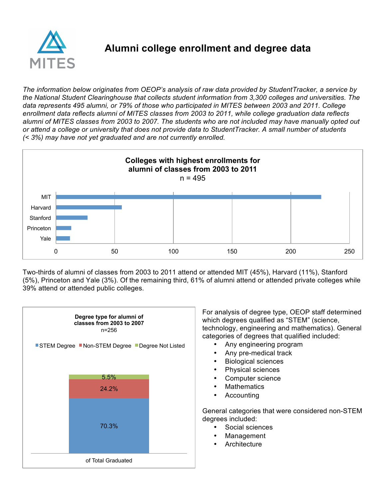

## **Alumni college enrollment and degree data**

*The information below originates from OEOP's analysis of raw data provided by StudentTracker, a service by the National Student Clearinghouse that collects student information from 3,300 colleges and universities. The data represents 495 alumni, or 79% of those who participated in MITES between 2003 and 2011. College enrollment data reflects alumni of MITES classes from 2003 to 2011, while college graduation data reflects alumni of MITES classes from 2003 to 2007. The students who are not included may have manually opted out or attend a college or university that does not provide data to StudentTracker. A small number of students (< 3%) may have not yet graduated and are not currently enrolled.*



Two-thirds of alumni of classes from 2003 to 2011 attend or attended MIT (45%), Harvard (11%), Stanford (5%), Princeton and Yale (3%). Of the remaining third, 61% of alumni attend or attended private colleges while 39% attend or attended public colleges.



For analysis of degree type, OEOP staff determined which degrees qualified as "STEM" (science, technology, engineering and mathematics). General categories of degrees that qualified included:

- Any engineering program
- Any pre-medical track
- Biological sciences
- Physical sciences
- Computer science
- **Mathematics**
- **Accounting**

General categories that were considered non-STEM degrees included:

- Social sciences
- **Management**
- **Architecture**